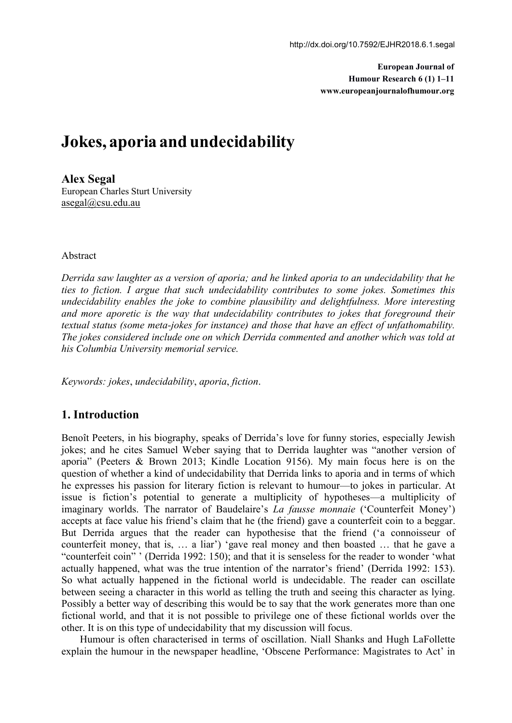**European Journal of Humour Research 6 (1) 1–11 www.europeanjournalofhumour.org**

# **Jokes, aporia and undecidability**

**Alex Segal** European Charles Sturt University [asegal@csu.edu.au](mailto:asegal@csu.edu.au)

#### Abstract

*Derrida saw laughter as a version ofaporia; and he linked aporia to an undecidability that he ties to fiction. I argue that such undecidability contributes to some jokes. Sometimes this undecidability enables the joke to combine plausibility and delightfulness. More interesting and more aporetic isthe way that undecidability contributes to jokes that foreground their textual status (some meta-jokes for instance) and those thathave an ef ect of unfathomability. The jokes considered include one on which Derrida commented and another which was told at his Columbia University memorial service.*

*Keywords: jokes*, *undecidability*, *aporia*, *fiction*.

# **1. Introduction**

Benoît Peeters, in his biography, speaks of Derrida's love for funny stories, especially Jewish jokes; and he cites Samuel Weber saying that to Derrida laughter was "another version of aporia" (Peeters & Brown 2013; Kindle Location 9156). My main focus here is on the question of whether a kind of undecidability that Derrida links to aporia and in terms of which he expresses his passion for literary fiction is relevant to humour—to jokes in particular. At issue is fiction's potential to generate a multiplicity of hypotheses—a multiplicity of imaginary worlds. The narrator of Baudelaire's *La fausse monnaie* ('Counterfeit Money') accepts at face value his friend's claim that he (the friend) gave a counterfeit coin to a beggar. But Derrida argues that the reader can hypothesise that the friend ('a connoisseur of counterfeit money, that is, … a liar') 'gave real money and then boasted … that he gave a "counterfeit coin" ' (Derrida 1992: 150); and that it is senseless for the reader to wonder 'what actually happened, what was the true intention of the narrator's friend' (Derrida 1992: 153). So what actually happened in the fictional world is undecidable. The reader can oscillate between seeing a character in this world as telling the truth and seeing this character as lying. Possibly a better way of describing this would be to say that the work generates more than one fictional world, and that it is not possible to privilege one of these fictional worlds over the other. It is on this type of undecidability that my discussion will focus.

Humour is often characterised in terms of oscillation. Niall Shanks and Hugh LaFollette explain the humour in the newspaper headline, 'Obscene Performance: Magistrates to Act' in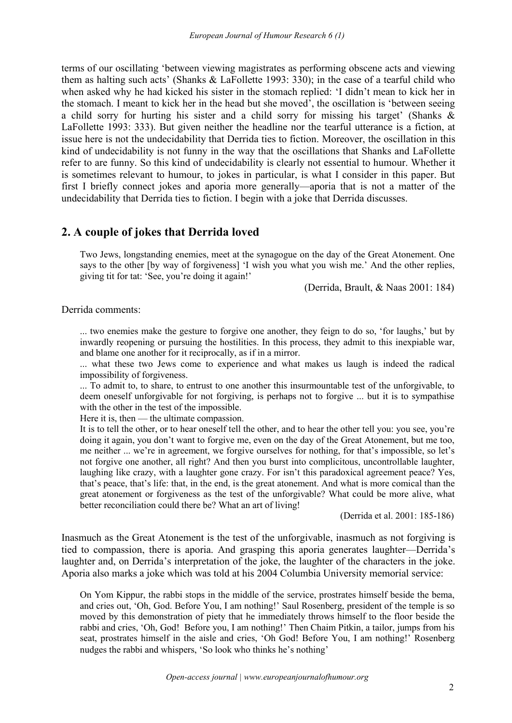terms of our oscillating 'between viewing magistrates as performing obscene acts and viewing them as halting such acts'(Shanks & LaFollette 1993: 330); in the case of a tearful child who when asked why he had kicked his sister in the stomach replied: 'I didn't mean to kick her in the stomach. I meant to kick her in the head but she moved', the oscillation is 'between seeing a child sorry for hurting his sister and a child sorry for missing his target' (Shanks & LaFollette 1993: 333). But given neither the headline nor the tearful utterance is a fiction, at issue here is not the undecidability that Derrida ties to fiction. Moreover, the oscillation in this kind of undecidability is not funny in the way that the oscillations that Shanks and LaFollette refer to are funny. So this kind of undecidability is clearly not essential to humour. Whether it is sometimes relevant to humour, to jokes in particular, is what I consider in this paper. But first I briefly connect jokes and aporia more generally—aporia that is not a matter of the undecidability that Derrida ties to fiction. I begin with a joke that Derrida discusses.

# **2. A couple of jokes that Derrida loved**

Two Jews, longstanding enemies, meet at the synagogue on the day of the Great Atonement. One says to the other [by way of forgiveness] 'I wish you what you wish me.' And the other replies, giving tit for tat: 'See, you're doing it again!'

(Derrida, Brault, & Naas 2001: 184)

Derrida comments:

... two enemies make the gesture to forgive one another, they feign to do so, 'for laughs,' but by inwardly reopening or pursuing the hostilities. In this process, they admit to this inexpiable war, and blame one another for it reciprocally, as if in a mirror.

... what these two Jews come to experience and what makes us laugh is indeed the radical impossibility of forgiveness.

... To admit to, to share, to entrust to one another this insurmountable test of the unforgivable, to deem oneself unforgivable for not forgiving, is perhaps not to forgive ... but it is to sympathise with the other in the test of the impossible.

Here it is, then — the ultimate compassion.

It is to tell the other, or to hear oneself tell the other, and to hear the other tell you: you see, you're doing it again, you don't want to forgive me, even on the day of the Great Atonement, but me too, me neither ... we're in agreement, we forgive ourselves for nothing, for that's impossible, so let's not forgive one another, all right? And then you burst into complicitous, uncontrollable laughter, laughing like crazy, with a laughter gone crazy. For isn't this paradoxical agreement peace? Yes, that's peace, that's life: that, in the end, is the great atonement. And what is more comical than the great atonement or forgiveness as the test of the unforgivable? What could be more alive, what better reconciliation could there be? What an art of living!

(Derrida et al. 2001: 185-186)

Inasmuch as the Great Atonement is the test of the unforgivable, inasmuch as not forgiving is tied to compassion, there is aporia. And grasping this aporia generates laughter—Derrida's laughter and, on Derrida's interpretation of the joke, the laughter of the characters in the joke. Aporia also marks a joke which was told at his 2004 Columbia University memorial service:

On Yom Kippur, the rabbi stops in the middle of the service, prostrates himself beside the bema, and cries out, 'Oh, God. Before You, I am nothing!' Saul Rosenberg, president of the temple is so moved by this demonstration of piety that he immediately throws himself to the floor beside the rabbi and cries, 'Oh, God! Before you, I am nothing!' Then Chaim Pitkin, a tailor, jumps from his seat, prostrates himself in the aisle and cries, 'Oh God! Before You, I am nothing!' Rosenberg nudges the rabbi and whispers, 'So look who thinks he's nothing'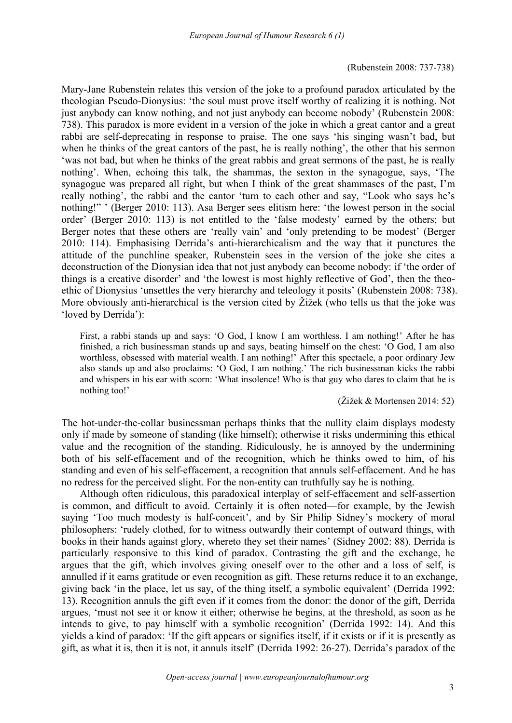## (Rubenstein 2008: 737-738)

Mary-Jane Rubenstein relates this version of the joke to a profound paradox articulated by the theologian Pseudo-Dionysius: 'the soul must prove itself worthy of realizing it is nothing. Not just anybody can know nothing, and not just anybody can become nobody' (Rubenstein 2008: 738). This paradox is more evident in a version of the joke in which a great cantor and a great rabbi are self-deprecating in response to praise. The one says 'his singing wasn't bad, but when he thinks of the great cantors of the past, he is really nothing', the other that his sermon 'was not bad, but when he thinks of the great rabbis and great sermons of the past, he is really nothing'. When, echoing this talk, the shammas, the sexton in the synagogue, says, 'The synagogue was prepared all right, but when I think of the great shammases of the past, I'm really nothing', the rabbi and the cantor 'turn to each other and say, "Look who says he's nothing!" ' (Berger 2010: 113). Asa Berger sees elitism here: 'the lowest person in the social order' (Berger 2010: 113) is not entitled to the 'false modesty' earned by the others; but Berger notes that these others are 'really vain' and 'only pretending to be modest' (Berger 2010: 114). Emphasising Derrida's anti-hierarchicalism and the way that it punctures the attitude of the punchline speaker, Rubenstein sees in the version of the joke she cites a deconstruction of the Dionysian idea that not just anybody can become nobody: if 'the order of things is a creative disorder' and 'the lowest is most highly reflective of God', then the theo ethic of Dionysius 'unsettles the very hierarchy and teleology it posits' (Rubenstein 2008: 738). More obviously anti-hierarchical is the version cited by Žižek (who tells us that the joke was 'loved by Derrida'):

First, a rabbi stands up and says: 'O God, I know I am worthless. Iam nothing!' After he has finished, a rich businessman stands up and says, beating himself on the chest: 'O God, I am also worthless, obsessed with material wealth. I am nothing!' After this spectacle, a poorordinary Jew also stands up and also proclaims: 'O God, I am nothing.' The rich businessman kicks the rabbi and whispers in his ear with scorn: 'What insolence! Who is that guy who dares to claim that he is nothing too!'

## (Žižek & Mortensen 2014: 52)

The hot-under-the-collar businessman perhaps thinks that the nullity claim displays modesty only if made by someone of standing (like himself); otherwise it risks undermining this ethical value and the recognition of the standing. Ridiculously, he is annoyed by the undermining both of his self-effacement and of the recognition, which he thinks owed to him, of his standing and even of his self-effacement, a recognition that annuls self-effacement. And he has no redress for the perceived slight. For the non-entity can truthfully say he is nothing.

Although often ridiculous, this paradoxical interplay of self-effacement and self-assertion is common, and difficult to avoid. Certainly it is often noted—for example, by the Jewish saying 'Too much modesty is half-conceit', and by Sir Philip Sidney's mockery of moral philosophers: 'rudely clothed, for to witness outwardly their contempt of outward things, with books in their hands against glory, whereto they set their names' (Sidney 2002: 88). Derrida is particularly responsive to this kind of paradox. Contrasting the gift and the exchange, he argues that the gift, which involves giving oneself over to the other and a loss of self, is annulled if it earns gratitude or even recognition as gift. These returns reduce it to an exchange, giving back 'in the place, let us say, of the thing itself, a symbolic equivalent' (Derrida 1992: 13). Recognition annuls the gift even if it comes from the donor: the donor of the gift, Derrida argues, 'must not see it or know it either; otherwise he begins, at the threshold, as soon as he intends to give, to pay himself with a symbolic recognition' (Derrida 1992: 14). And this yields a kind of paradox: 'If the gift appears or signifies itself, if it exists or if it is presently as gift, as what it is, then it is not, it annuls itself' (Derrida 1992: 26-27). Derrida's paradox of the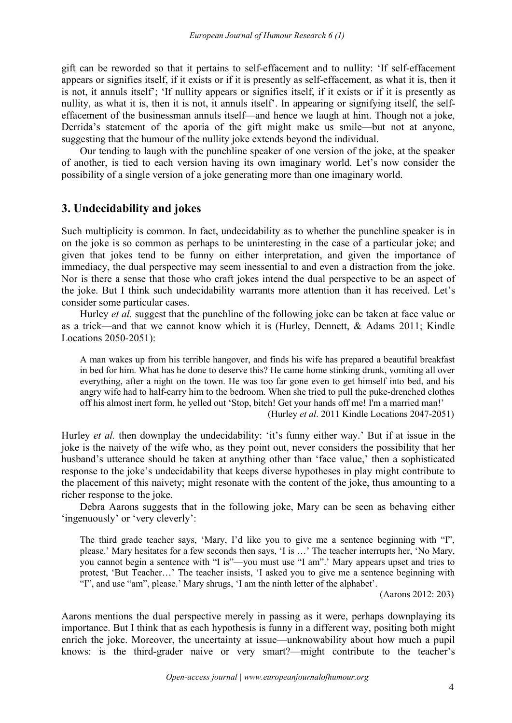gift can be reworded so that it pertains to self-effacement and to nullity: 'If self-effacement appears or signifies itself, if it exists or if it is presently as self-effacement, as what it is, then it is not, it annuls itself'; 'If nullity appears or signifies itself, if it exists or if it is presently as nullity, as what it is, then it is not, it annuls itself'. In appearing or signifying itself, the self effacement of the businessman annuls itself—and hence we laugh at him. Though not a joke, Derrida's statement of the aporia of the gift might make us smile—but not at anyone, suggesting that the humour of the nullity joke extends beyond the individual.

Our tending to laugh with the punchline speaker of one version of the joke, at the speaker of another, is tied to each version having its own imaginary world. Let's now consider the possibility of a single version of a joke generating more than one imaginary world.

## **3. Undecidability and jokes**

Such multiplicity is common. In fact, undecidability as to whether the punchline speaker is in on the joke isso common as perhaps to be uninteresting in the case of a particular joke; and given that jokes tend to be funny on either interpretation, and given the importance of immediacy, the dual perspective may seem inessential to and even a distraction from the joke. Nor is there a sense that those who craft jokes intend the dual perspective to be an aspect of the joke. But I think such undecidability warrants more attention than it has received. Let's consider some particular cases.

Hurley *et al.* suggest that the punchline of the following joke can be taken at face value or as a trick—and that we cannot know which it is(Hurley, Dennett, & Adams 2011; Kindle Locations 2050-2051):

A man wakes up from his terrible hangover, and finds his wife has prepared a beautiful breakfast in bed for him. What has he done to deserve this? He came home stinking drunk, vomiting all over everything, after a night on the town. He was too far gone even to get himself into bed, and his angry wife had to half-carry him to the bedroom. When she tried to pull the puke-drenched clothes off his almost inert form, he yelled out 'Stop, bitch! Get your hands off me! I'm a married man!'

(Hurley *et al*. 2011 Kindle Locations 2047-2051)

Hurley *et al.* then downplay the undecidability: 'it's funny either way.' But if at issue in the joke is the naivety of the wife who, as they point out, never considers the possibility that her husband's utterance should be taken at anything other than 'face value,' then a sophisticated response to the joke's undecidability that keeps diverse hypotheses in play might contribute to the placement of this naivety; might resonate with the contentof the joke, thus amounting to a richer response to the joke.

Debra Aarons suggests that in the following joke, Mary can be seen as behaving either 'ingenuously' or 'very cleverly':

The third grade teacher says, 'Mary, I'd like you to give me a sentence beginning with "I", please.' Mary hesitates for a few seconds then says, 'I is ...' The teacher interrupts her, 'No Mary, you cannot begin a sentence with "I is"—you must use "I am".' Mary appears upset and tries to protest, 'But Teacher…' The teacher insists, 'I asked you to give me a sentence beginning with "I", and use "am", please.' Mary shrugs, 'I am the ninth letter of the alphabet'.

(Aarons 2012: 203)

Aarons mentions the dual perspective merely in passing as it were, perhaps downplaying its importance. But I think that as each hypothesis is funny in a different way, positing both might enrich the joke. Moreover, the uncertainty at issue—unknowability about how much a pupil knows: is the third-grader naive or very smart?—might contribute to the teacher's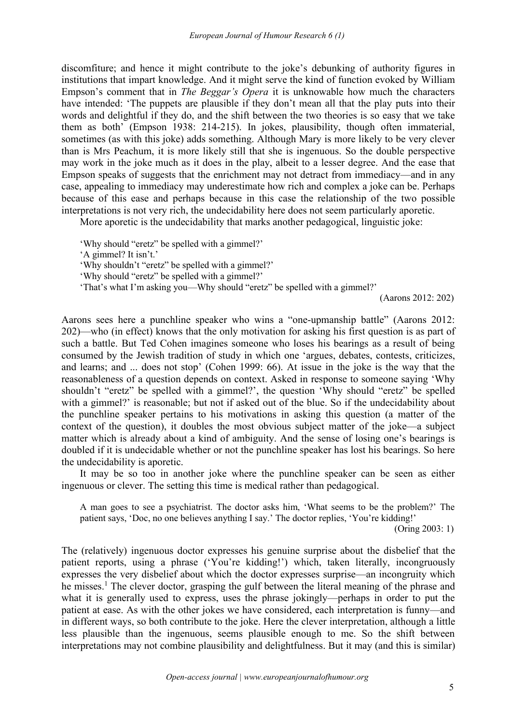discomfiture; and hence it might contribute to the joke's debunking of authority figures in institutions that impart knowledge. And it might serve the kind of function evoked by William Empson's comment that in *The Beggar's Opera* it is unknowable how much the characters have intended: 'The puppets are plausible if they don't mean all that the play puts into their words and delightful if they do, and the shift between the two theories is so easy that we take them as both' (Empson 1938: 214-215). In jokes, plausibility, though often immaterial, sometimes (as with this joke) adds something. Although Mary is more likely to be very clever than is Mrs Peachum, it is more likely still that she is ingenuous. So the double perspective may work in the joke much as it does in the play, albeit to a lesser degree. And the ease that Empson speaks of suggests that the enrichment may not detract from immediacy—and in any case, appealing to immediacy may underestimate how rich and complex a joke can be. Perhaps because of this ease and perhaps because in this case the relationship of the two possible interpretations is not very rich, the undecidability here does not seem particularly aporetic.

More aporetic is the undecidability that marks another pedagogical, linguistic joke:

'Why should "eretz" be spelled with a gimmel?'

'A gimmel? It isn't.'

'Why shouldn't "eretz" be spelled with a gimmel?'

'Why should "eretz" be spelled with a gimmel?'

'That's what I'm asking you—Why should "eretz" be spelled with a gimmel?'

(Aarons 2012: 202)

Aarons sees here a punchline speaker who wins a "one-upmanship battle" (Aarons 2012: 202)—who (in effect) knows that the only motivation for asking his first question is as part of such a battle. But Ted Cohen imagines someone who loses his bearings as a result of being consumed by the Jewish tradition of study in which one 'argues, debates, contests, criticizes, and learns; and ... does not stop' (Cohen 1999: 66). At issue in the joke is the way that the reasonableness of a question depends on context. Asked in response to someone saying 'Why shouldn't "eretz" be spelled with a gimmel?', the question 'Why should "eretz" be spelled with a gimmel?' is reasonable; but not if asked out of the blue. So if the undecidability about the punchline speaker pertains to his motivations in asking this question (a matter of the context of the question), it doubles the most obvious subject matter of the joke—a subject matter which is already about a kind of ambiguity. And the sense of losing one's bearings is doubled if it is undecidable whether or not the punchline speaker has lost his bearings. So here the undecidability is aporetic.

It may be so too in another joke where the punchline speaker can be seen as either ingenuous or clever. The setting this time is medical rather than pedagogical.

A man goes to see a psychiatrist. The doctor asks him, 'What seems to be the problem?' The patient says, 'Doc, no one believes anything I say.' The doctor replies, 'You're kidding!'

(Oring 2003: 1)

The (relatively) ingenuous doctor expresses his genuine surprise about the disbelief that the patient reports, using a phrase ('You're kidding!') which, taken literally, incongruously expresses the very disbelief about which the doctor expresses surprise—an incongruity which he misses.<sup>[1](#page-9-0)</sup> The clever doctor, grasping the gulf between the literal meaning of the phrase and what it is generally used to express, uses the phrase jokingly—perhaps in order to put the patient at ease. As with the other jokes we have considered, each interpretation is funny—and in different ways, so both contribute to the joke. Here the clever interpretation, although a little less plausible than the ingenuous, seems plausible enough to me. So the shift between interpretations may not combine plausibility and delightfulness. But it may (and this is similar)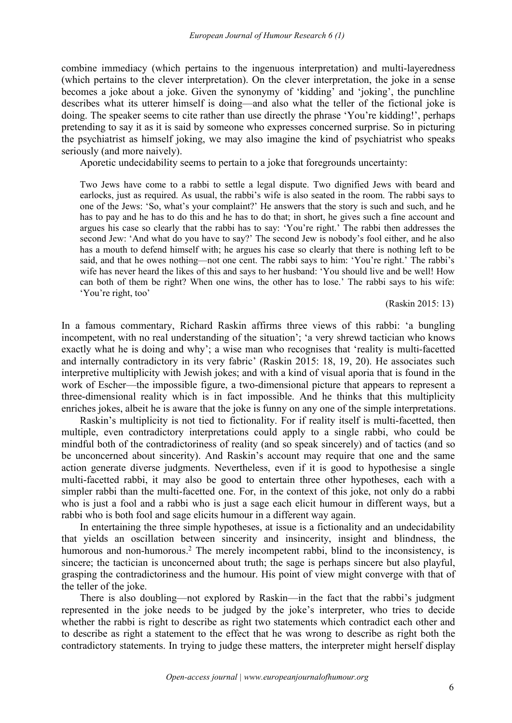combine immediacy (which pertains to the ingenuous interpretation) and multi-layeredness (which pertains to the clever interpretation). On the clever interpretation, the joke in a sense becomes a joke about a joke. Given the synonymy of 'kidding' and 'joking', the punchline describes what its utterer himself is doing—and also what the teller of the fictional joke is doing. The speaker seems to cite rather than use directly the phrase 'You're kidding!', perhaps pretending to say it as it is said by someone who expresses concerned surprise. So in picturing the psychiatrist as himself joking, we may also imagine the kind of psychiatrist who speaks seriously (and more naively).

Aporetic undecidability seems to pertain to a joke that foregrounds uncertainty:

Two Jews have come to a rabbi to settle a legal dispute. Two dignified Jews with beard and earlocks, just as required. As usual, the rabbi's wife is also seated in the room. The rabbi says to one of the Jews: 'So, what's your complaint?' He answers that the story is such and such, and he has to pay and he has to do this and he has to do that; in short, he gives such a fine account and argues his case so clearly that the rabbi has to say: 'You're right.' The rabbi then addresses the second Jew: 'And what do you have to say?' The second Jew is nobody's fool either, and he also has a mouth to defend himself with; he argues his case so clearly that there is nothing left to be said, and that he owes nothing—not one cent. The rabbi says to him: 'You're right.' The rabbi's wife has never heard the likes of this and says to her husband: 'You should live and be well! How can both of them be right? When one wins, the other has to lose.' The rabbi says to his wife: 'You're right, too'

(Raskin 2015: 13)

In a famous commentary, Richard Raskin affirms three views of this rabbi: 'a bungling incompetent, with no real understanding of the situation'; 'a very shrewd tactician who knows exactly what he is doing and why'; a wise man who recognises that 'reality is multi-facetted and internally contradictory in its very fabric' (Raskin 2015: 18, 19, 20). He associates such interpretive multiplicity with Jewish jokes; and with a kind of visual aporia that is found in the work of Escher—the impossible figure, a two-dimensional picture that appears to represent a three-dimensional reality which is in fact impossible. And he thinks that this multiplicity enriches jokes, albeit he is aware that the joke is funny on any one of the simple interpretations.

Raskin's multiplicity is not tied to fictionality. For if reality itself is multi-facetted, then multiple, even contradictory interpretations could apply to a single rabbi, who could be mindful both of the contradictoriness of reality (and so speak sincerely) and of tactics (and so be unconcerned about sincerity). And Raskin's account may require that one and the same action generate diverse judgments. Nevertheless, even if it is good to hypothesise a single multi-facetted rabbi, it may also be good to entertain three other hypotheses, each with a simpler rabbi than the multi-facetted one. For, in the context of this joke, not only do a rabbi who is just a fool and a rabbi who is just a sage each elicit humour in different ways, but a rabbi who is both fool and sage elicits humour in a different way again.

In entertaining the three simple hypotheses, at issue is a fictionality and an undecidability that yields an oscillation between sincerity and insincerity, insight and blindness, the humorous and non-humorous.<sup>[2](#page-9-1)</sup> The merely incompetent rabbi, blind to the inconsistency, is sincere; the tactician is unconcerned about truth; the sage is perhaps sincere but also playful, grasping the contradictoriness and the humour.His point of view might converge with that of the teller of the joke.

There is also doubling—not explored by Raskin—in the fact that the rabbi's judgment represented in the joke needs to be judged by the joke's interpreter, who tries to decide whether the rabbi is right to describe as right two statements which contradict each other and to describe as right a statement to the effect that he was wrong to describe as right both the contradictory statements. In trying to judge these matters, the interpreter might herself display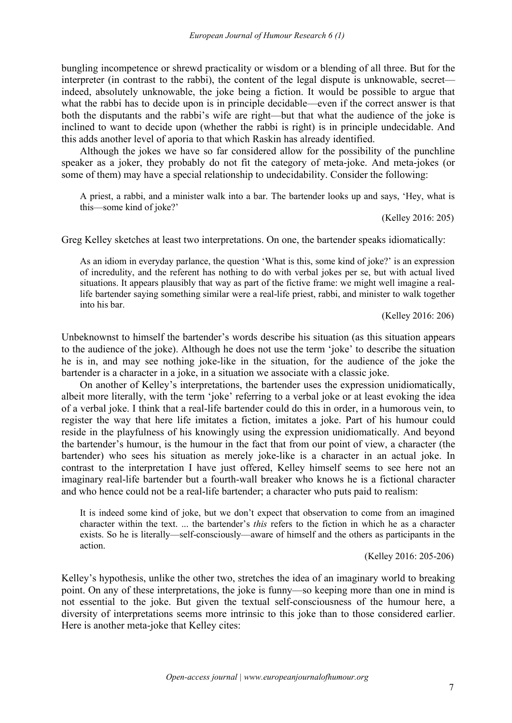bungling incompetence or shrewd practicality or wisdom or a blending of all three. But for the interpreter (in contrast to the rabbi), the content of the legal dispute is unknowable, secret indeed, absolutely unknowable, the joke being a fiction. It would be possible to argue that what the rabbi has to decide upon is in principle decidable—even if the correct answer is that both the disputants and the rabbi's wife are right—but that what the audience of the joke is inclined to want to decide upon (whether the rabbi is right) is in principle undecidable. And this adds another level of aporia to that which Raskin has already identified.

Although the jokes we have so far considered allow for the possibility of the punchline speaker as a joker, they probably do not fit the category of meta-joke. And meta-jokes (or some of them) may have a special relationship to undecidability. Consider the following:

A priest, a rabbi, and a minister walk into a bar. The bartender looks up and says, 'Hey, what is this—some kind of joke?'

(Kelley 2016: 205)

Greg Kelley sketches at least two interpretations. On one, the bartender speaks idiomatically:

As an idiom in everyday parlance, the question 'What is this, some kind of joke?' is an expression of incredulity, and the referent has nothing to do with verbal jokes per se, but with actual lived situations. It appears plausibly that way as part of the fictive frame: we might well imagine a reallife bartender saying something similar were a real-life priest, rabbi, and minister to walk together into his bar.

(Kelley 2016: 206)

Unbeknownst to himself the bartender's words describe his situation (as this situation appears to the audience of the joke). Although he does not use the term 'joke' to describe the situation he is in, and may see nothing joke-like in the situation, for the audience of the joke the bartender is a character in a joke, in a situation we associate with a classic joke.

On another of Kelley's interpretations, the bartender uses the expression unidiomatically, albeit more literally, with the term 'joke' referring to a verbal joke or at least evoking the idea of a verbal joke. I think that a real-life bartender could do this in order, in a humorous vein, to register the way that here life imitates a fiction, imitates a joke. Part of his humour could reside in the playfulness of his knowingly using the expression unidiomatically. And beyond the bartender's humour, is the humour in the fact that from our point of view, a character (the bartender) who sees his situation as merely joke-like is a character in an actual joke. In contrast to the interpretation I have just offered, Kelley himself seems to see here not an imaginary real-life bartender but a fourth-wall breaker who knows he is a fictional character and who hence could not be a real-life bartender; a character who puts paid to realism:

It is indeed some kind of joke, but we don't expect that observation to come from an imagined character within the text. ... the bartender's *this* refers to the fiction in which he as a character exists. So he is literally—self-consciously—aware of himself and the others as participants in the action.

(Kelley 2016: 205-206)

Kelley's hypothesis, unlike the other two, stretches the idea of an imaginary world to breaking point. On any of these interpretations, the joke is funny—so keeping more than one in mind is not essential to the joke. But given the textual self-consciousness of the humour here, a diversity of interpretations seems more intrinsic to this joke than to those considered earlier. Here is another meta-joke that Kelley cites: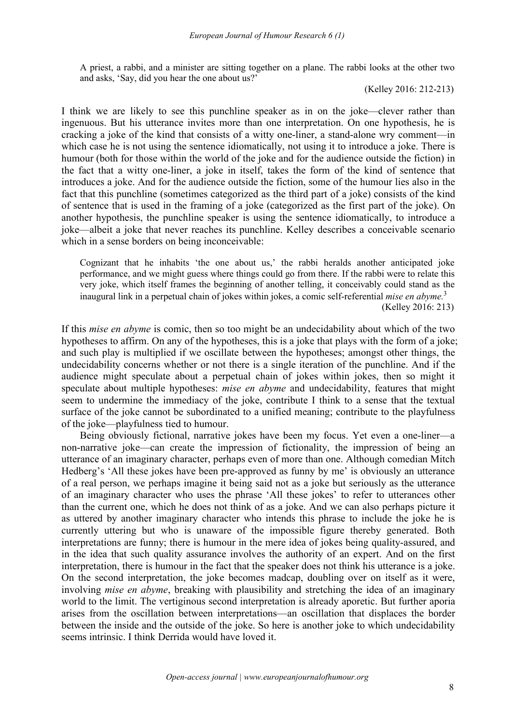A priest, a rabbi, and a minister are sitting together on a plane. The rabbi looks at the other two and asks, 'Say, did you hear the one about us?'

(Kelley 2016: 212-213)

I think we are likely to see this punchline speaker as in on the joke—clever rather than ingenuous. But his utterance invites more than one interpretation. On one hypothesis, he is cracking a joke of the kind that consists of a witty one-liner, a stand-alone wry comment—in which case he is not using the sentence idiomatically, not using it to introduce a joke. There is humour (both for those within the world of the joke and for the audience outside the fiction) in the fact that a witty one-liner, a joke in itself, takes the form of the kind of sentence that introduces a joke. And for the audience outside the fiction, some of the humour lies also in the fact that this punchline (sometimes categorized as the third part of a joke) consists of the kind of sentence that is used in the framing of a joke (categorized as the first part of the joke). On another hypothesis, the punchline speaker is using the sentence idiomatically, to introduce a joke—albeit a joke that never reaches its punchline. Kelley describes a conceivable scenario which in a sense borders on being inconceivable:

Cognizant that he inhabits 'the one about us,' the rabbi heralds another anticipated joke performance, and we might guess where things could go from there. If the rabbi were to relate this very joke, which itself frames the beginning of another telling, it conceivably could stand as the inaugural link in a perpetual chain of jokes within jokes, a comic self-referential *mise en abyme.*[3](#page-9-2)

(Kelley 2016: 213)

If this *mise en abyme* iscomic, then so too might be an undecidability about which of the two hypotheses to affirm. On any of the hypotheses, this is a joke that plays with the form of a joke; and such play is multiplied if we oscillate between the hypotheses; amongst other things, the undecidability concerns whether or not there is a single iteration of the punchline. And if the audience might speculate about a perpetual chain of jokes within jokes, then so might it speculate about multiple hypotheses: *mise en abyme* and undecidability, features that might seem to undermine the immediacy of the joke, contribute I think to a sense that the textual surface of the joke cannot be subordinated to a unified meaning; contribute to the playfulness of the joke—playfulness tied to humour.

Being obviously fictional, narrative jokes have been my focus. Yet even a one-liner—a non-narrative joke—can create the impression of fictionality, the impression of being an utterance of an imaginary character, perhaps even of more than one. Although comedian Mitch Hedberg's 'All these jokes have been pre-approved as funny by me' is obviously an utterance of a real person, we perhaps imagine it being said not as a joke but seriously as the utterance of an imaginary character who uses the phrase 'All these jokes' to refer to utterances other than the current one, which he does not think of as a joke. And we can also perhaps picture it as uttered by another imaginary character who intends this phrase to include the joke he is currently uttering but who is unaware of the impossible figure thereby generated. Both interpretations are funny; there is humour in the mere idea of jokes being quality-assured, and in the idea that such quality assurance involves the authority of an expert. And on the first interpretation, there is humour in the fact that the speaker does not think his utterance is a joke. On the second interpretation, the joke becomes madcap, doubling over on itself as it were, involving *mise en abyme*, breaking with plausibility and stretching the idea of an imaginary world to the limit. The vertiginous second interpretation is already aporetic. But further aporia arises from the oscillation between interpretations—an oscillation that displaces the border between the inside and the outside of the joke. So here is another joke to which undecidability seems intrinsic. I think Derrida would have loved it.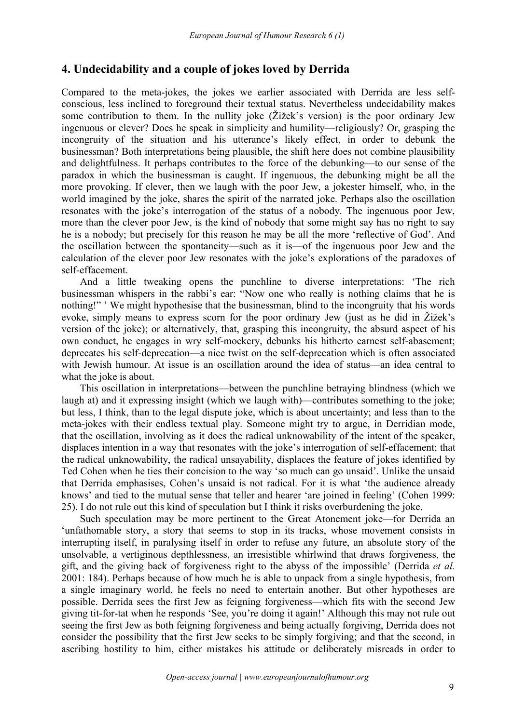# **4. Undecidability and a couple of jokes loved by Derrida**

Compared to the meta-jokes, the jokes we earlier associated with Derrida are less self conscious, less inclined to foreground their textual status. Nevertheless undecidability makes some contribution to them. In the nullity joke (Žižek's version) is the poor ordinary Jew ingenuous or clever? Does he speak in simplicity and humility—religiously? Or, grasping the incongruity of the situation and his utterance's likely effect, in order to debunk the businessman? Both interpretations being plausible, the shift here does not combine plausibility and delightfulness. It perhaps contributes to the force of the debunking—to our sense of the paradox in which the businessman is caught. If ingenuous, the debunking might be all the more provoking. If clever, then we laugh with the poor Jew, a jokester himself, who, in the world imagined by the joke, shares the spirit of the narrated joke. Perhaps also the oscillation resonates with the joke's interrogation of the status of a nobody.The ingenuous poor Jew, more than the clever poor Jew, is the kind of nobody that some might say has no right to say he is a nobody; but precisely for this reason he may be all the more 'reflective of God'. And the oscillation between the spontaneity—such as it is—of the ingenuous poor Jew and the calculation of the clever poor Jew resonates with the joke's explorations of the paradoxes of self-effacement.

And a little tweaking opens the punchline to diverse interpretations: 'The rich businessman whispers in the rabbi's ear: "Now one who really is nothing claims that he is nothing!" ' We might hypothesise that the businessman, blind to the incongruity that his words evoke, simply means to express scorn for the poor ordinary Jew (just as he did in Žižek's version of the joke); or alternatively, that, grasping this incongruity, the absurd aspect of his own conduct, he engages in wry self-mockery, debunks his hitherto earnest self-abasement; deprecates his self-deprecation—a nice twist on the self-deprecation which is often associated with Jewish humour. At issue is an oscillation around the idea of status—an idea central to what the joke is about.<br>This oscillation in interpretations—between the punchline betraying blindness (which we

laugh at) and it expressing insight (which we laugh with)—contributes something to the joke; but less, I think, than to the legal dispute joke, which is about uncertainty; and less than to the meta-jokes with their endless textual play. Someone might try to argue, in Derridian mode, that the oscillation, involving as it does the radical unknowability of the intent of the speaker, displaces intention in a way that resonates with the joke's interrogation of self-effacement; that the radical unknowability, the radical unsayability, displaces the feature of jokes identified by Ted Cohen when he ties their concision to the way 'so much can go unsaid'. Unlike the unsaid that Derrida emphasises, Cohen's unsaid is not radical. For it is what 'the audience already knows' and tied to the mutual sense that teller and hearer 'are joined in feeling' (Cohen 1999: 25). I do not rule out this kind of speculation but I think it risks overburdening the joke.

Such speculation may be more pertinent to the Great Atonement joke—for Derrida an 'unfathomable story, a story that seems to stop in its tracks, whose movement consists in interrupting itself, in paralysing itself in order to refuse any future, an absolute story of the unsolvable, a vertiginous depthlessness, an irresistible whirlwind that draws forgiveness, the gift, and the giving back of forgiveness right to the abyss of the impossible' (Derrida *et al.* 2001: 184). Perhaps because of how much he is able to unpack from a single hypothesis, from a single imaginary world, he feels no need to entertain another. But other hypotheses are possible. Derrida sees the first Jew as feigning forgiveness—which fits with the second Jew giving tit-for-tat when he responds 'See, you're doing it again!' Although this may not rule out seeing the first Jew as both feigning forgiveness and being actually forgiving, Derrida does not consider the possibility that the first Jew seeks to be simply forgiving; and that the second, in ascribing hostility to him, either mistakes his attitude or deliberately misreads in order to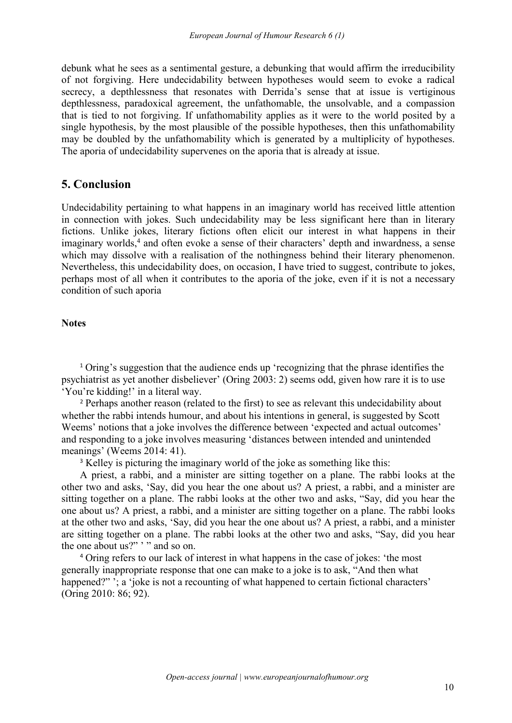debunk what he sees as a sentimental gesture, a debunking that would affirm the irreducibility of not forgiving. Here undecidability between hypotheses would seem to evoke a radical secrecy, a depthlessness that resonates with Derrida's sense that at issue is vertiginous depthlessness, paradoxical agreement, the unfathomable, the unsolvable, and a compassion that is tied to not forgiving. If unfathomability applies as it were to the world posited by a single hypothesis, by the most plausible of the possible hypotheses, then this unfathomability may be doubled by the unfathomability which is generated by a multiplicity of hypotheses. The aporia of undecidability supervenes on the aporia that is already at issue.

## **5. Conclusion**

Undecidability pertaining to what happens in an imaginary world has received little attention in connection with jokes. Such undecidability may be less significant here than in literary fictions. Unlike jokes, literary fictions often elicit our interest in what happens in their imaginary worlds,<sup>[4](#page-9-3)</sup> and often evoke a sense of their characters' depth and inwardness, a sense which may dissolve with a realisation of the nothingness behind their literary phenomenon. Nevertheless, this undecidability does, on occasion, I have tried to suggest, contribute to jokes, perhaps most of all when it contributes to the aporia of the joke, even if it is not a necessary condition of such aporia

## **Notes**

<span id="page-9-0"></span><sup>1</sup> Oring's suggestion that the audience ends up 'recognizing that the phrase identifies the psychiatrist as yet another disbeliever' (Oring 2003: 2) seems odd, given how rare it is to use 'You're kidding!' in a literal way.

<span id="page-9-1"></span><sup>2</sup> Perhaps another reason (related to the first) to see as relevant this undecidability about whether the rabbi intends humour, and about his intentions in general, is suggested by Scott Weems' notions that a joke involves the difference between 'expected and actual outcomes' and responding to a joke involves measuring 'distances between intended and unintended meanings' (Weems 2014: 41).

<span id="page-9-2"></span><sup>3</sup> Kelley is picturing the imaginary world of the joke as something like this:

A priest, a rabbi, and a minister are sitting together on a plane. The rabbi looks at the other two and asks, 'Say, did you hear the one about us? A priest, a rabbi, and a minister are sitting together on a plane. The rabbi looks at the other two and asks, "Say, did you hear the one about us? A priest, a rabbi, and a minister are sitting together on a plane. The rabbi looks at the other two and asks, 'Say, did you hear the one about us? A priest, a rabbi, and a minister are sitting together on a plane. The rabbi looks at the other two and asks, "Say, did you hear the one about us?" '" and so on.

<span id="page-9-3"></span><sup>4</sup> Oring refers to our lack of interest in what happens in the case of jokes: 'the most generally inappropriate response that one can make to a joke is to ask, "And then what happened?" '; a 'joke is not a recounting of what happened to certain fictional characters' (Oring 2010: 86; 92).